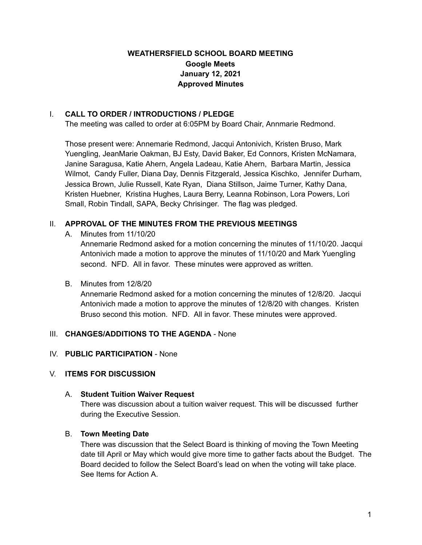# **WEATHERSFIELD SCHOOL BOARD MEETING Google Meets January 12, 2021 Approved Minutes**

### I. **CALL TO ORDER / INTRODUCTIONS / PLEDGE**

The meeting was called to order at 6:05PM by Board Chair, Annmarie Redmond.

Those present were: Annemarie Redmond, Jacqui Antonivich, Kristen Bruso, Mark Yuengling, JeanMarie Oakman, BJ Esty, David Baker, Ed Connors, Kristen McNamara, Janine Saragusa, Katie Ahern, Angela Ladeau, Katie Ahern, Barbara Martin, Jessica Wilmot, Candy Fuller, Diana Day, Dennis Fitzgerald, Jessica Kischko, Jennifer Durham, Jessica Brown, Julie Russell, Kate Ryan, Diana Stillson, Jaime Turner, Kathy Dana, Kristen Huebner, Kristina Hughes, Laura Berry, Leanna Robinson, Lora Powers, Lori Small, Robin Tindall, SAPA, Becky Chrisinger. The flag was pledged.

# II. **APPROVAL OF THE MINUTES FROM THE PREVIOUS MEETINGS**

A. Minutes from 11/10/20

Annemarie Redmond asked for a motion concerning the minutes of 11/10/20. Jacqui Antonivich made a motion to approve the minutes of 11/10/20 and Mark Yuengling second. NFD. All in favor. These minutes were approved as written.

## B. Minutes from 12/8/20

Annemarie Redmond asked for a motion concerning the minutes of 12/8/20. Jacqui Antonivich made a motion to approve the minutes of 12/8/20 with changes. Kristen Bruso second this motion. NFD. All in favor. These minutes were approved.

## III. **CHANGES/ADDITIONS TO THE AGENDA** - None

## IV. **PUBLIC PARTICIPATION** - None

## V. **ITEMS FOR DISCUSSION**

#### A. **Student Tuition Waiver Request**

There was discussion about a tuition waiver request. This will be discussed further during the Executive Session.

#### B. **Town Meeting Date**

There was discussion that the Select Board is thinking of moving the Town Meeting date till April or May which would give more time to gather facts about the Budget. The Board decided to follow the Select Board's lead on when the voting will take place. See Items for Action A.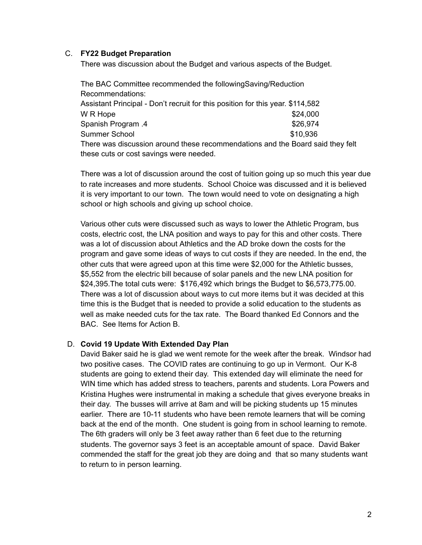#### C. **FY22 Budget Preparation**

There was discussion about the Budget and various aspects of the Budget.

The BAC Committee recommended the followingSaving/Reduction Recommendations: Assistant Principal - Don't recruit for this position for this year. \$114,582  $W \, R$  Hope  $$24,000$ Spanish Program .4  $$26,974$ Summer School **\$10,936** There was discussion around these recommendations and the Board said they felt these cuts or cost savings were needed.

There was a lot of discussion around the cost of tuition going up so much this year due to rate increases and more students. School Choice was discussed and it is believed it is very important to our town. The town would need to vote on designating a high school or high schools and giving up school choice.

Various other cuts were discussed such as ways to lower the Athletic Program, bus costs, electric cost, the LNA position and ways to pay for this and other costs. There was a lot of discussion about Athletics and the AD broke down the costs for the program and gave some ideas of ways to cut costs if they are needed. In the end, the other cuts that were agreed upon at this time were \$2,000 for the Athletic busses, \$5,552 from the electric bill because of solar panels and the new LNA position for \$24,395.The total cuts were: \$176,492 which brings the Budget to \$6,573,775.00. There was a lot of discussion about ways to cut more items but it was decided at this time this is the Budget that is needed to provide a solid education to the students as well as make needed cuts for the tax rate. The Board thanked Ed Connors and the BAC. See Items for Action B.

#### D. **Covid 19 Update With Extended Day Plan**

David Baker said he is glad we went remote for the week after the break. Windsor had two positive cases. The COVID rates are continuing to go up in Vermont. Our K-8 students are going to extend their day. This extended day will eliminate the need for WIN time which has added stress to teachers, parents and students. Lora Powers and Kristina Hughes were instrumental in making a schedule that gives everyone breaks in their day. The busses will arrive at 8am and will be picking students up 15 minutes earlier. There are 10-11 students who have been remote learners that will be coming back at the end of the month. One student is going from in school learning to remote. The 6th graders will only be 3 feet away rather than 6 feet due to the returning students. The governor says 3 feet is an acceptable amount of space. David Baker commended the staff for the great job they are doing and that so many students want to return to in person learning.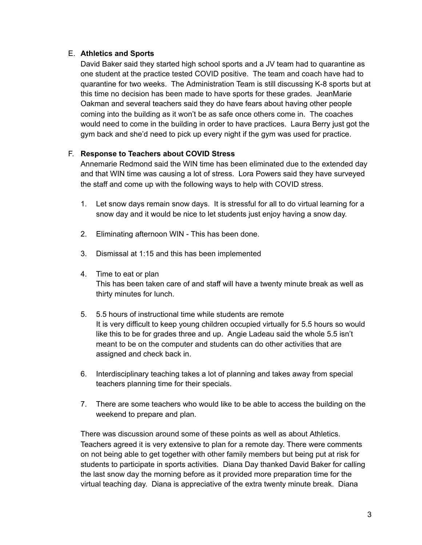### E. **Athletics and Sports**

David Baker said they started high school sports and a JV team had to quarantine as one student at the practice tested COVID positive. The team and coach have had to quarantine for two weeks. The Administration Team is still discussing K-8 sports but at this time no decision has been made to have sports for these grades. JeanMarie Oakman and several teachers said they do have fears about having other people coming into the building as it won't be as safe once others come in. The coaches would need to come in the building in order to have practices. Laura Berry just got the gym back and she'd need to pick up every night if the gym was used for practice.

### F. **Response to Teachers about COVID Stress**

Annemarie Redmond said the WIN time has been eliminated due to the extended day and that WIN time was causing a lot of stress. Lora Powers said they have surveyed the staff and come up with the following ways to help with COVID stress.

- 1. Let snow days remain snow days. It is stressful for all to do virtual learning for a snow day and it would be nice to let students just enjoy having a snow day.
- 2. Eliminating afternoon WIN This has been done.
- 3. Dismissal at 1:15 and this has been implemented
- 4. Time to eat or plan This has been taken care of and staff will have a twenty minute break as well as thirty minutes for lunch.
- 5. 5.5 hours of instructional time while students are remote It is very difficult to keep young children occupied virtually for 5.5 hours so would like this to be for grades three and up. Angie Ladeau said the whole 5.5 isn't meant to be on the computer and students can do other activities that are assigned and check back in.
- 6. Interdisciplinary teaching takes a lot of planning and takes away from special teachers planning time for their specials.
- 7. There are some teachers who would like to be able to access the building on the weekend to prepare and plan.

There was discussion around some of these points as well as about Athletics. Teachers agreed it is very extensive to plan for a remote day. There were comments on not being able to get together with other family members but being put at risk for students to participate in sports activities. Diana Day thanked David Baker for calling the last snow day the morning before as it provided more preparation time for the virtual teaching day. Diana is appreciative of the extra twenty minute break. Diana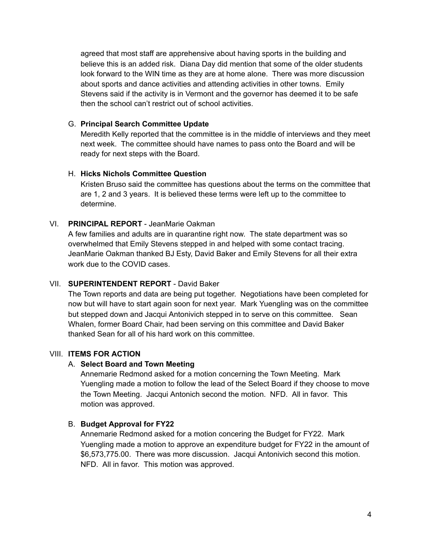agreed that most staff are apprehensive about having sports in the building and believe this is an added risk. Diana Day did mention that some of the older students look forward to the WIN time as they are at home alone. There was more discussion about sports and dance activities and attending activities in other towns. Emily Stevens said if the activity is in Vermont and the governor has deemed it to be safe then the school can't restrict out of school activities.

### G. **Principal Search Committee Update**

Meredith Kelly reported that the committee is in the middle of interviews and they meet next week. The committee should have names to pass onto the Board and will be ready for next steps with the Board.

### H. **Hicks Nichols Committee Question**

Kristen Bruso said the committee has questions about the terms on the committee that are 1, 2 and 3 years. It is believed these terms were left up to the committee to determine.

## VI. **PRINCIPAL REPORT** - JeanMarie Oakman

A few families and adults are in quarantine right now. The state department was so overwhelmed that Emily Stevens stepped in and helped with some contact tracing. JeanMarie Oakman thanked BJ Esty, David Baker and Emily Stevens for all their extra work due to the COVID cases.

### VII. **SUPERINTENDENT REPORT** - David Baker

The Town reports and data are being put together. Negotiations have been completed for now but will have to start again soon for next year. Mark Yuengling was on the committee but stepped down and Jacqui Antonivich stepped in to serve on this committee. Sean Whalen, former Board Chair, had been serving on this committee and David Baker thanked Sean for all of his hard work on this committee.

## VIII. **ITEMS FOR ACTION**

#### A. **Select Board and Town Meeting**

Annemarie Redmond asked for a motion concerning the Town Meeting. Mark Yuengling made a motion to follow the lead of the Select Board if they choose to move the Town Meeting. Jacqui Antonich second the motion. NFD. All in favor. This motion was approved.

## B. **Budget Approval for FY22**

Annemarie Redmond asked for a motion concering the Budget for FY22. Mark Yuengling made a motion to approve an expenditure budget for FY22 in the amount of \$6,573,775.00. There was more discussion. Jacqui Antonivich second this motion. NFD. All in favor. This motion was approved.